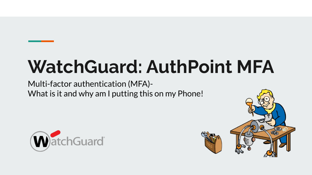# **WatchGuard: AuthPoint MFA**

Multi-factor authentication (MFA)- What is it and why am I putting this on my Phone!



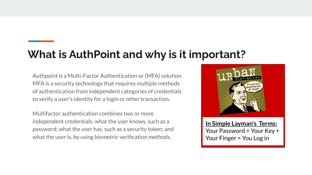### **What is AuthPoint and why is it important?**

Authpoint is a Multi-Factor Authentication or (MFA) solution. MFA is a security technology that requires multiple methods of authentication from independent categories of credentials to verify a user's identity for a login or other transaction.

Multifactor authentication combines two or more independent credentials: what the user knows, such as a password; what the user has, such as a security token; and what the user is, by using biometric verification methods.



**In Simple Layman's Terms:** Your Password + Your Key + Your Finger = You Log in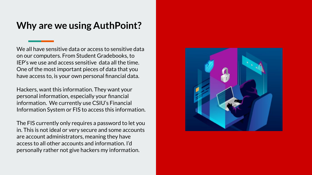### **Why are we using AuthPoint?**

We all have sensitive data or access to sensitive data on our computers. From Student Gradebooks, to IEP's we use and access sensitive data all the time. One of the most important pieces of data that you have access to, is your own personal financial data.

Hackers, want this information. They want your personal information, especially your financial information. We currently use CSIU's Financial Information System or FIS to access this information.

The FIS currently only requires a password to let you in. This is not ideal or very secure and some accounts are account administrators, meaning they have access to all other accounts and information. I'd personally rather not give hackers my information.

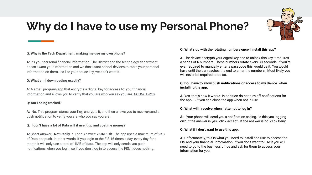

## **Why do I have to use my Personal Phone?**

#### **Q: Why is the Tech Department making me use my own phone?**

**A:** It's your personal financial information. The District and the technology department doesn't want your information and we don't want school devices to store your personal information on them. It's like your house key, we don't want it.

#### **Q: What am I downloading exactly?**

**A:** A small program/app that encrypts a digital key for access to your financial information and allows you to verify that you are who you say you are. *PHONE ONLY!*

#### **Q: Am i being tracked?**

**A:** No. This program stores your Key, encrypts it, and then allows you to receive/send a push notification to verify you are who you say you are.

#### **Q: I don't have a lot of Data will it use it up and cost me money?**

**A:** Short Answer: **Not Really** / Long Answer: **2KB/Push** The app uses a maximum of 2KB of Data per push. In other words, if you login to the FIS 16 times a day, every day for a month it will only use a total of 1MB of data. The app will only sends you push notifications when you log in so if you don't log in to access the FIS, it does nothing.

#### **Q: What's up with the rotating numbers once I install this app?**

**A**: The device encrypts your digital key and to unlock this key it requires a series of 6 numbers. These numbers rotate every 30 seconds. If you're ever required to manually enter a passcode this would be it. You would have until the bar reaches the end to enter the numbers. Most likely you will never be required to do so.

#### **Q: Do I have to allow push notifications or access to my device when installing the app.**

**A:** Yes, that's how it works. In addition do not turn off notifications for the app. But you can close the app when not in use.

#### **Q: What will I receive when I attempt to log in?**

**A:** Your phone will send you a notification asking, is this you logging on? If the answer is yes, click accept. If the answer is no click Deny.

#### **Q: What if i don't want to use this app.**

**A:** Unfortunately, this is what you need to install and use to access the FIS and your financial information. If you don't want to use it you will need to go to the business office and ask for them to access your information for you.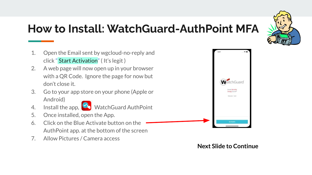

### **How to Install: WatchGuard-AuthPoint MFA**

- 1. Open the Email sent by wgcloud-no-reply and click " Start Activation" ( It's legit )
- 2. A web page will now open up in your browser with a QR Code. Ignore the page for now but don't close it.
- 3. Go to your app store on your phone (Apple or Android)
- 
- 4. Install the app, WatchGuard AuthPoint
- 5. Once installed, open the App.
- 6. Click on the Blue Activate button on the AuthPoint app. at the bottom of the screen
- 7. Allow Pictures / Camera access



### **Next Slide to Continue**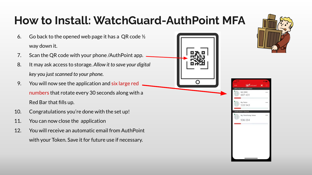## **How to Install: WatchGuard-AuthPoint MFA**

- 6. Go back to the opened web page it has a QR code  $\frac{1}{2}$ way down it.
- 7. Scan the QR code with your phone /AuthPoint app.
- 8. It may ask access to storage. *Allow it to save your digital key you just scanned to your phone.*
- 9. You will now see the application and six large red numbers that rotate every 30 seconds along with a Red Bar that fills up.
- 10. Congratulations you're done with the set up!
- 11. You can now close the application
- 12. You will receive an automatic email from AuthPoint with your Token. Save it for future use if necessary.





607 431

936 094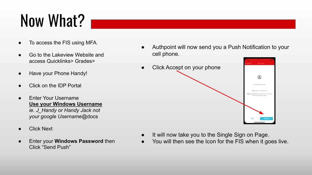## Now What?

- To access the FIS using MFA.
- Go to the Lakeview Website and access Quicklinks> Grades>
- Have your Phone Handy!
- Click on the IDP Portal
- **Enter Your Username Use your Windows Username** *ie. J\_Handy or Handy Jack not your google Username*@docs
- **Click Next**
- **Enter your Windows Password then** Click "Send Push"

Authpoint will now send you a Push Notification to your cell phone.



- It will now take you to the Single Sign on Page.
- You will then see the Icon for the FIS when it goes live.